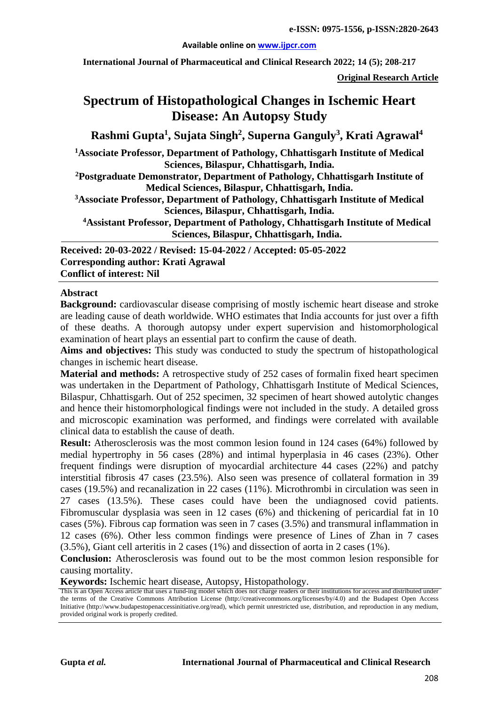#### **Available online on [www.ijpcr.com](http://www.ijpcr.com/)**

**International Journal of Pharmaceutical and Clinical Research 2022; 14 (5); 208-217**

**Original Research Article**

# **Spectrum of Histopathological Changes in Ischemic Heart Disease: An Autopsy Study**

**Rashmi Gupta1 , Sujata Singh2 , Superna Ganguly3 , Krati Agrawal<sup>4</sup>**

**1Associate Professor, Department of Pathology, Chhattisgarh Institute of Medical Sciences, Bilaspur, Chhattisgarh, India.**

**2Postgraduate Demonstrator, Department of Pathology, Chhattisgarh Institute of Medical Sciences, Bilaspur, Chhattisgarh, India.**

**3Associate Professor, Department of Pathology, Chhattisgarh Institute of Medical Sciences, Bilaspur, Chhattisgarh, India.**

**4Assistant Professor, Department of Pathology, Chhattisgarh Institute of Medical Sciences, Bilaspur, Chhattisgarh, India.**

**Received: 20-03-2022 / Revised: 15-04-2022 / Accepted: 05-05-2022 Corresponding author: Krati Agrawal Conflict of interest: Nil**

#### **Abstract**

**Background:** cardiovascular disease comprising of mostly ischemic heart disease and stroke are leading cause of death worldwide. WHO estimates that India accounts for just over a fifth of these deaths. A thorough autopsy under expert supervision and histomorphological examination of heart plays an essential part to confirm the cause of death.

**Aims and objectives:** This study was conducted to study the spectrum of histopathological changes in ischemic heart disease.

**Material and methods:** A retrospective study of 252 cases of formalin fixed heart specimen was undertaken in the Department of Pathology, Chhattisgarh Institute of Medical Sciences, Bilaspur, Chhattisgarh. Out of 252 specimen, 32 specimen of heart showed autolytic changes and hence their histomorphological findings were not included in the study. A detailed gross and microscopic examination was performed, and findings were correlated with available clinical data to establish the cause of death.

**Result:** Atherosclerosis was the most common lesion found in 124 cases (64%) followed by medial hypertrophy in 56 cases (28%) and intimal hyperplasia in 46 cases (23%). Other frequent findings were disruption of myocardial architecture 44 cases (22%) and patchy interstitial fibrosis 47 cases (23.5%). Also seen was presence of collateral formation in 39 cases (19.5%) and recanalization in 22 cases (11%). Microthrombi in circulation was seen in 27 cases (13.5%). These cases could have been the undiagnosed covid patients. Fibromuscular dysplasia was seen in 12 cases (6%) and thickening of pericardial fat in 10 cases (5%). Fibrous cap formation was seen in 7 cases (3.5%) and transmural inflammation in 12 cases (6%). Other less common findings were presence of Lines of Zhan in 7 cases (3.5%), Giant cell arteritis in 2 cases (1%) and dissection of aorta in 2 cases (1%).

**Conclusion:** Atherosclerosis was found out to be the most common lesion responsible for causing mortality.

**Keywords:** Ischemic heart disease, Autopsy, Histopathology.

This is an Open Access article that uses a fund-ing model which does not charge readers or their institutions for access and distributed under the terms of the Creative Commons Attribution License (http://creativecommons.org/licenses/by/4.0) and the Budapest Open Access Initiative (http://www.budapestopenaccessinitiative.org/read), which permit unrestricted use, distribution, and reproduction in any medium, provided original work is properly credited.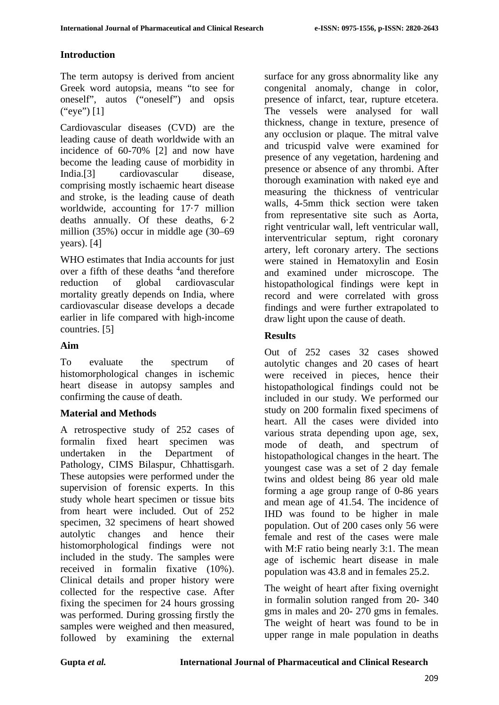## **Introduction**

The term autopsy is derived from ancient Greek word autopsia, means "to see for oneself", autos ("oneself") and opsis ("eye") [1]

Cardiovascular diseases (CVD) are the leading cause of death worldwide with an incidence of 60-70% [2] and now have become the leading cause of morbidity in India.[3] cardiovascular disease, comprising mostly ischaemic heart disease and stroke, is the leading cause of death worldwide, accounting for 17·7 million deaths annually. Of these deaths, 6·2 million (35%) occur in middle age (30–69 years). [4]

WHO estimates that India accounts for just over a fifth of these deaths <sup>4</sup> and therefore reduction of global cardiovascular mortality greatly depends on India, where cardiovascular disease develops a decade earlier in life compared with high-income countries. [5]

## **Aim**

To evaluate the spectrum of histomorphological changes in ischemic heart disease in autopsy samples and confirming the cause of death.

#### **Material and Methods**

A retrospective study of 252 cases of formalin fixed heart specimen was undertaken in the Department of Pathology, CIMS Bilaspur, Chhattisgarh. These autopsies were performed under the supervision of forensic experts. In this study whole heart specimen or tissue bits from heart were included. Out of 252 specimen, 32 specimens of heart showed autolytic changes and hence their histomorphological findings were not included in the study. The samples were received in formalin fixative (10%). Clinical details and proper history were collected for the respective case. After fixing the specimen for 24 hours grossing was performed. During grossing firstly the samples were weighed and then measured, followed by examining the external surface for any gross abnormality like any congenital anomaly, change in color, presence of infarct, tear, rupture etcetera. The vessels were analysed for wall thickness, change in texture, presence of any occlusion or plaque. The mitral valve and tricuspid valve were examined for presence of any vegetation, hardening and presence or absence of any thrombi. After thorough examination with naked eye and measuring the thickness of ventricular walls, 4-5mm thick section were taken from representative site such as Aorta, right ventricular wall, left ventricular wall, interventricular septum, right coronary artery, left coronary artery. The sections were stained in Hematoxylin and Eosin and examined under microscope. The histopathological findings were kept in record and were correlated with gross findings and were further extrapolated to draw light upon the cause of death.

## **Results**

Out of 252 cases 32 cases showed autolytic changes and 20 cases of heart were received in pieces, hence their histopathological findings could not be included in our study. We performed our study on 200 formalin fixed specimens of heart. All the cases were divided into various strata depending upon age, sex, mode of death, and spectrum of histopathological changes in the heart. The youngest case was a set of 2 day female twins and oldest being 86 year old male forming a age group range of 0-86 years and mean age of 41.54. The incidence of IHD was found to be higher in male population. Out of 200 cases only 56 were female and rest of the cases were male with M:F ratio being nearly 3:1. The mean age of ischemic heart disease in male population was 43.8 and in females 25.2.

The weight of heart after fixing overnight in formalin solution ranged from 20- 340 gms in males and 20- 270 gms in females. The weight of heart was found to be in upper range in male population in deaths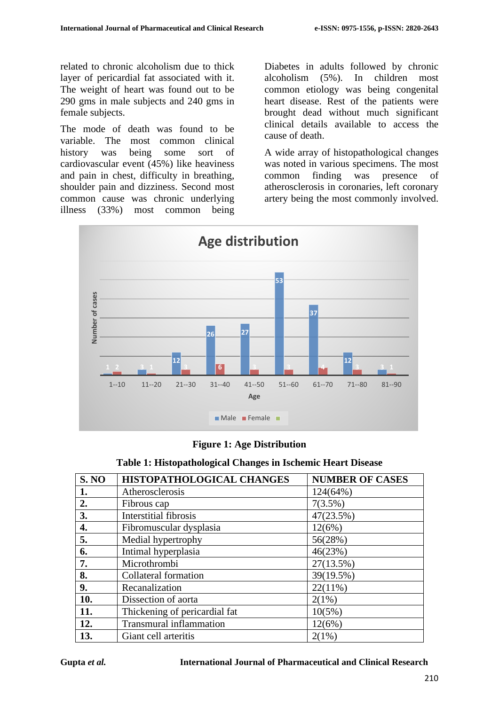related to chronic alcoholism due to thick layer of pericardial fat associated with it. The weight of heart was found out to be 290 gms in male subjects and 240 gms in female subjects.

The mode of death was found to be variable. The most common clinical history was being some sort of cardiovascular event (45%) like heaviness and pain in chest, difficulty in breathing, shoulder pain and dizziness. Second most common cause was chronic underlying illness (33%) most common being

Diabetes in adults followed by chronic alcoholism (5%). In children most common etiology was being congenital heart disease. Rest of the patients were brought dead without much significant clinical details available to access the cause of death.

A wide array of histopathological changes was noted in various specimens. The most common finding was presence of atherosclerosis in coronaries, left coronary artery being the most commonly involved.





|  |  |  |  | Table 1: Histopathological Changes in Ischemic Heart Disease |
|--|--|--|--|--------------------------------------------------------------|
|--|--|--|--|--------------------------------------------------------------|

| <b>S. NO</b> | HISTOPATHOLOGICAL CHANGES      | <b>NUMBER OF CASES</b> |
|--------------|--------------------------------|------------------------|
| 1.           | Atherosclerosis                | 124(64%)               |
| 2.           | Fibrous cap                    | $7(3.5\%)$             |
| 3.           | <b>Interstitial fibrosis</b>   | 47(23.5%)              |
| 4.           | Fibromuscular dysplasia        | 12(6%)                 |
| 5.           | Medial hypertrophy             | 56(28%)                |
| 6.           | Intimal hyperplasia            | 46(23%)                |
| 7.           | Microthrombi                   | 27(13.5%)              |
| 8.           | Collateral formation           | 39(19.5%)              |
| 9.           | Recanalization                 | $22(11\%)$             |
| 10.          | Dissection of aorta            | $2(1\%)$               |
| 11.          | Thickening of pericardial fat  | $10(5\%)$              |
| 12.          | <b>Transmural</b> inflammation | 12(6%)                 |
| 13.          | Giant cell arteritis           | $2(1\%)$               |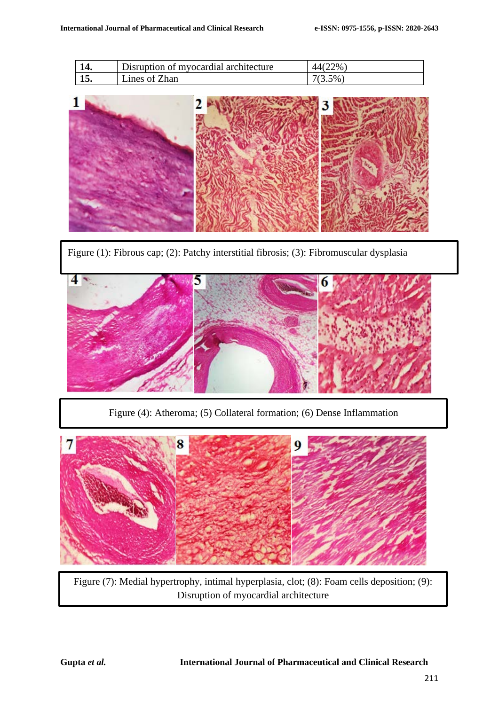|     | Disruption of myocardial architecture | 44(22%)   |
|-----|---------------------------------------|-----------|
| lv. | Lines of Zhan                         | $7(3.5\%$ |



Figure (1): Fibrous cap; (2): Patchy interstitial fibrosis; (3): Fibromuscular dysplasia



Figure (4): Atheroma; (5) Collateral formation; (6) Dense Inflammation



Figure (7): Medial hypertrophy, intimal hyperplasia, clot; (8): Foam cells deposition; (9): Disruption of myocardial architecture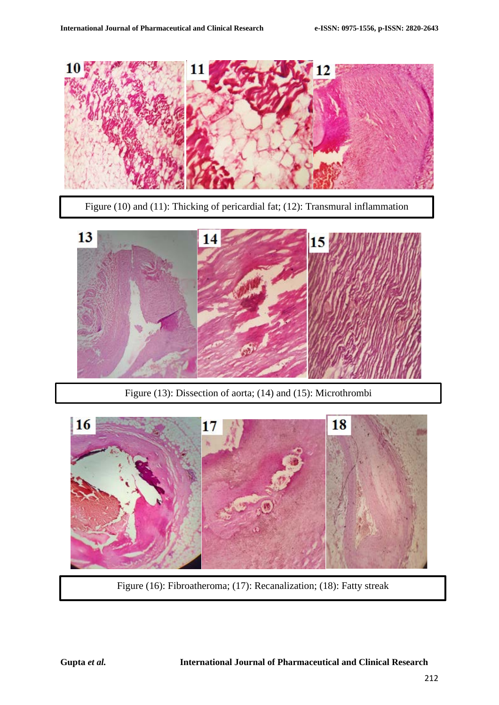

Figure (10) and (11): Thicking of pericardial fat; (12): Transmural inflammation



Figure (13): Dissection of aorta; (14) and (15): Microthrombi



Figure (16): Fibroatheroma; (17): Recanalization; (18): Fatty streak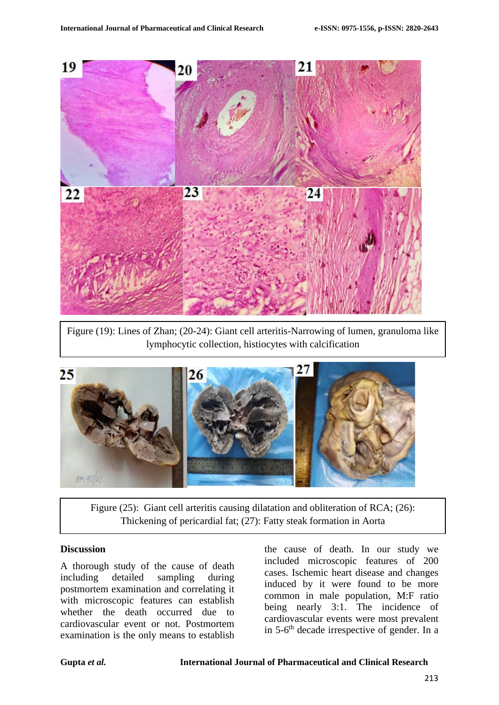

Figure (19): Lines of Zhan; (20-24): Giant cell arteritis-Narrowing of lumen, granuloma like lymphocytic collection, histiocytes with calcification



Figure (25): Giant cell arteritis causing dilatation and obliteration of RCA; (26): Thickening of pericardial fat; (27): Fatty steak formation in Aorta

#### **Discussion**

A thorough study of the cause of death including detailed sampling during postmortem examination and correlating it with microscopic features can establish whether the death occurred due to cardiovascular event or not. Postmortem examination is the only means to establish

the cause of death. In our study we included microscopic features of 200 cases. Ischemic heart disease and changes induced by it were found to be more common in male population, M:F ratio being nearly 3:1. The incidence of cardiovascular events were most prevalent in  $5-6$ <sup>th</sup> decade irrespective of gender. In a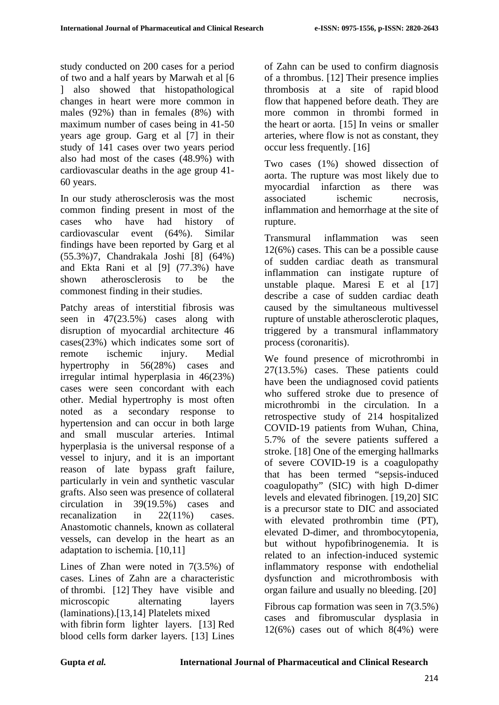study conducted on 200 cases for a period of two and a half years by Marwah et al [6 ] also showed that histopathological changes in heart were more common in males (92%) than in females (8%) with maximum number of cases being in 41-50 years age group. Garg et al [7] in their study of 141 cases over two years period also had most of the cases (48.9%) with cardiovascular deaths in the age group 41- 60 years.

In our study atherosclerosis was the most common finding present in most of the cases who have had history of cardiovascular event (64%). Similar findings have been reported by Garg et al (55.3%)7, Chandrakala Joshi [8] (64%) and Ekta Rani et al [9] (77.3%) have shown atherosclerosis to be the commonest finding in their studies.

Patchy areas of interstitial fibrosis was seen in 47(23.5%) cases along with disruption of myocardial architecture 46 cases(23%) which indicates some sort of remote ischemic injury. Medial hypertrophy in 56(28%) cases and irregular intimal hyperplasia in 46(23%) cases were seen concordant with each other. Medial hypertrophy is most often noted as a secondary response to hypertension and can occur in both large and small muscular arteries. Intimal hyperplasia is the universal response of a vessel to injury, and it is an important reason of late bypass graft failure, particularly in vein and synthetic vascular grafts. Also seen was presence of collateral circulation in 39(19.5%) cases and recanalization in 22(11%) cases. Anastomotic channels, known as collateral vessels, can develop in the heart as an adaptation to ischemia. [10,11]

Lines of Zhan were noted in 7(3.5%) of cases. Lines of Zahn are a characteristic of [thrombi.](https://en.wikipedia.org/wiki/Thrombus) [12] They have visible and microscopic alternating layers (laminations).[13,14] [Platelets](https://en.wikipedia.org/wiki/Platelets) mixed with [fibrin](https://en.wikipedia.org/wiki/Fibrin) form lighter layers. [13] Red [blood cells](https://en.wikipedia.org/wiki/Red_blood_cell) form darker layers. [13] Lines

of Zahn can be used to confirm diagnosis of a thrombus. [12] Their presence implies thrombosis at a site of rapid [blood](https://en.wikipedia.org/wiki/Blood_flow)  [flow](https://en.wikipedia.org/wiki/Blood_flow) that happened before death. They are more common in thrombi formed in the [heart](https://en.wikipedia.org/wiki/Heart) or [aorta.](https://en.wikipedia.org/wiki/Aorta) [15] In veins or smaller arteries, where flow is not as constant, they occur less frequently. [16]

Two cases (1%) showed dissection of aorta. The rupture was most likely due to myocardial infarction as there was associated ischemic necrosis, inflammation and hemorrhage at the site of rupture.

Transmural inflammation was seen 12(6%) cases. This can be a possible cause of sudden cardiac death as transmural inflammation can instigate rupture of unstable plaque. Maresi E et al [17] describe a case of sudden cardiac death caused by the simultaneous multivessel rupture of unstable atherosclerotic plaques, triggered by a transmural inflammatory process (coronaritis).

We found presence of microthrombi in 27(13.5%) cases. These patients could have been the undiagnosed covid patients who suffered stroke due to presence of microthrombi in the circulation. In a retrospective study of 214 hospitalized COVID-19 patients from Wuhan, China, 5.7% of the severe patients suffered a stroke. [18] One of the emerging hallmarks of severe COVID-19 is a coagulopathy that has been termed "sepsis-induced coagulopathy" (SIC) with high D-dimer levels and elevated fibrinogen. [19,20] SIC is a precursor state to DIC and associated with elevated prothrombin time (PT). elevated D-dimer, and thrombocytopenia, but without hypofibrinogenemia. It is related to an infection-induced systemic inflammatory response with endothelial dysfunction and microthrombosis with organ failure and usually no bleeding. [20]

Fibrous cap formation was seen in 7(3.5%) cases and fibromuscular dysplasia in  $12(6%)$  cases out of which  $8(4%)$  were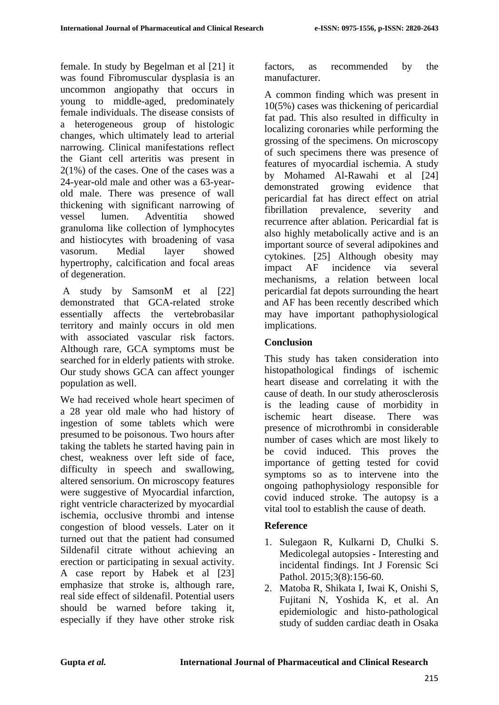female. In study by Begelman et al [21] it was found Fibromuscular dysplasia is an uncommon angiopathy that occurs in young to middle-aged, predominately female individuals. The disease consists of a heterogeneous group of histologic changes, which ultimately lead to arterial narrowing. Clinical manifestations reflect the Giant cell arteritis was present in 2(1%) of the cases. One of the cases was a 24-year-old male and other was a 63-yearold male. There was presence of wall thickening with significant narrowing of vessel lumen. Adventitia showed granuloma like collection of lymphocytes and histiocytes with broadening of vasa vasorum. Medial layer showed hypertrophy, calcification and focal areas of degeneration.

A study by SamsonM et al [22] demonstrated that GCA-related stroke essentially affects the vertebrobasilar territory and mainly occurs in old men with associated vascular risk factors. Although rare, GCA symptoms must be searched for in elderly patients with stroke. Our study shows GCA can affect younger population as well.

We had received whole heart specimen of a 28 year old male who had history of ingestion of some tablets which were presumed to be poisonous. Two hours after taking the tablets he started having pain in chest, weakness over left side of face, difficulty in speech and swallowing, altered sensorium. On microscopy features were suggestive of Myocardial infarction, right ventricle characterized by myocardial ischemia, occlusive thrombi and intense congestion of blood vessels. Later on it turned out that the patient had consumed Sildenafil citrate without achieving an erection or participating in sexual activity. A case report by Habek et al [23] emphasize that stroke is, although rare, real side effect of sildenafil. Potential users should be warned before taking it, especially if they have other stroke risk factors, as recommended by the manufacturer.

A common finding which was present in 10(5%) cases was thickening of pericardial fat pad. This also resulted in difficulty in localizing coronaries while performing the grossing of the specimens. On microscopy of such specimens there was presence of features of myocardial ischemia. A study by Mohamed Al-Rawahi et al [24] demonstrated growing evidence that pericardial fat has direct effect on atrial fibrillation prevalence, severity and recurrence after ablation. Pericardial fat is also highly metabolically active and is an important source of several adipokines and cytokines. [25] Although obesity may impact AF incidence via several mechanisms, a relation between local pericardial fat depots surrounding the heart and AF has been recently described which may have important pathophysiological implications.

# **Conclusion**

This study has taken consideration into histopathological findings of ischemic heart disease and correlating it with the cause of death. In our study atherosclerosis is the leading cause of morbidity in ischemic heart disease. There was presence of microthrombi in considerable number of cases which are most likely to be covid induced. This proves the importance of getting tested for covid symptoms so as to intervene into the ongoing pathophysiology responsible for covid induced stroke. The autopsy is a vital tool to establish the cause of death.

# **Reference**

- 1. Sulegaon R, Kulkarni D, Chulki S. Medicolegal autopsies - Interesting and incidental findings. Int J Forensic Sci Pathol. 2015:3(8):156-60.
- 2. Matoba R, Shikata I, Iwai K, Onishi S, Fujitani N, Yoshida K, et al. An epidemiologic and histo-pathological study of sudden cardiac death in Osaka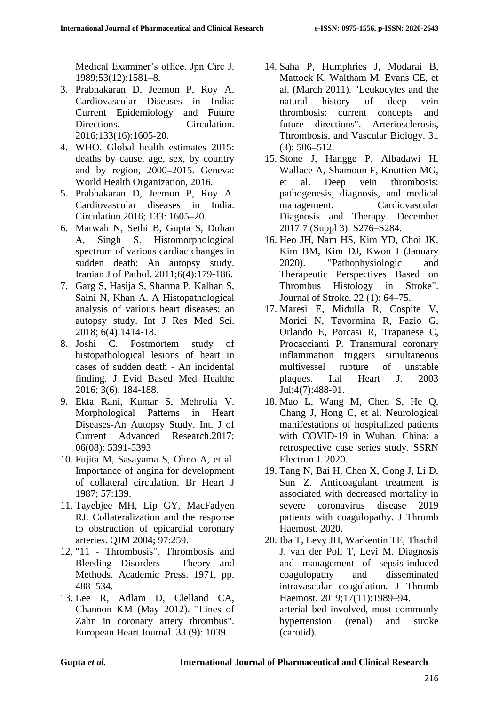Medical Examiner's office. Jpn Circ J. 1989;53(12):1581–8.

- 3. Prabhakaran D, Jeemon P, Roy A. Cardiovascular Diseases in India: Current Epidemiology and Future Directions. Circulation. 2016;133(16):1605-20.
- 4. WHO. Global health estimates 2015: deaths by cause, age, sex, by country and by region, 2000–2015. Geneva: World Health Organization, 2016.
- 5. Prabhakaran D, Jeemon P, Roy A. Cardiovascular diseases in India. Circulation 2016; 133: 1605–20.
- 6. Marwah N, Sethi B, Gupta S, Duhan A, Singh S. Histomorphological spectrum of various cardiac changes in sudden death: An autopsy study. Iranian J of Pathol. 2011;6(4):179-186.
- 7. Garg S, Hasija S, Sharma P, Kalhan S, Saini N, Khan A. A Histopathological analysis of various heart diseases: an autopsy study. Int J Res Med Sci. 2018; 6(4):1414-18.
- 8. Joshi C. Postmortem study of histopathological lesions of heart in cases of sudden death - An incidental finding. J Evid Based Med Healthc 2016; 3(6), 184-188.
- 9. Ekta Rani, Kumar S, Mehrolia V. Morphological Patterns in Heart Diseases-An Autopsy Study. Int. J of Current Advanced Research.2017; 06(08): 5391-5393
- 10. Fujita M, Sasayama S, Ohno A, et al. Importance of angina for development of collateral circulation. Br Heart J 1987; 57:139.
- 11. Tayebjee MH, Lip GY, MacFadyen RJ. Collateralization and the response to obstruction of epicardial coronary arteries. QJM 2004; 97:259.
- 12. "11 Thrombosis". Thrombosis and Bleeding Disorders - Theory and Methods. Academic Press. 1971. pp. 488–534.
- 13. Lee R, Adlam D, Clelland CA, Channon KM (May 2012). "Lines of Zahn in coronary artery thrombus". European Heart Journal. 33 (9): 1039.
- 14. Saha P, Humphries J, Modarai B, Mattock K, Waltham M, Evans CE, et al. (March 2011). "Leukocytes and the natural history of deep vein thrombosis: current concepts and future directions". Arteriosclerosis, Thrombosis, and Vascular Biology. 31 (3): 506–512.
- 15. Stone J, Hangge P, Albadawi H, Wallace A, Shamoun F, Knuttien MG, et al. Deep vein thrombosis: pathogenesis, diagnosis, and medical management. Cardiovascular Diagnosis and Therapy. December 2017:7 (Suppl 3): S276–S284.
- 16. Heo JH, Nam HS, Kim YD, Choi JK, Kim BM, Kim DJ, Kwon I (January 2020). "Pathophysiologic and Therapeutic Perspectives Based on Thrombus Histology in Stroke". Journal of Stroke. 22 (1): 64–75.
- 17. Maresi E, Midulla R, Cospite V, Morici N, Tavormina R, Fazio G, Orlando E, Porcasi R, Trapanese C, Procaccianti P. Transmural coronary inflammation triggers simultaneous multivessel rupture of unstable plaques. Ital Heart J. 2003 Jul;4(7):488-91.
- 18. Mao L, Wang M, Chen S, He Q, Chang J, Hong C, et al. Neurological manifestations of hospitalized patients with COVID-19 in Wuhan, China: a retrospective case series study. SSRN Electron J. 2020.
- 19. Tang N, Bai H, Chen X, Gong J, Li D, Sun Z. Anticoagulant treatment is associated with decreased mortality in severe coronavirus disease 2019 patients with coagulopathy. J Thromb Haemost. 2020.
- 20. Iba T, Levy JH, Warkentin TE, Thachil J, van der Poll T, Levi M. Diagnosis and management of sepsis-induced coagulopathy and disseminated intravascular coagulation. J Thromb Haemost. 2019;17(11):1989–94. arterial bed involved, most commonly hypertension (renal) and stroke (carotid).